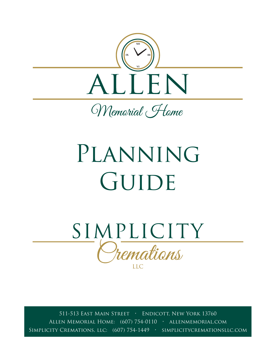

Memorial Flome

# PLANNING GUIDE



511-513 East Main Street • Endicott, New York 13760 Allen Memorial Home: (607) 754-0110 • allenmemorial.com Simplicity Cremations, llc: (607) 754-1449 • simplicitycremationsllc.com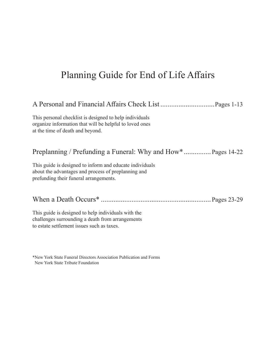# Planning Guide for End of Life Affairs

# A Personal and Financial Affairs Check List ..............................Pages 1-13

This personal checklist is designed to help individuals organize information that will be helpful to loved ones at the time of death and beyond.

# Preplanning / Prefunding a Funeral: Why and How\*............... Pages 14-22

This guide is designed to inform and educate individuals about the advantages and process of preplanning and prefunding their funeral arrangements.

When a Death Occurs\* ............................................................. Pages 23-29

This guide is designed to help individuals with the challenges surrounding a death from arrangements to estate settlement issues such as taxes.

\*New York State Funeral Directors Association Publication and Forms New York State Tribute Foundation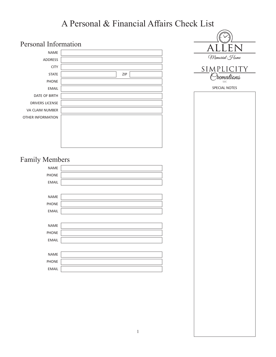# A Personal & Financial Affairs Check List

| Personal Information   |     | EN<br>$\overline{\mathsf{A}}$ |
|------------------------|-----|-------------------------------|
| <b>NAME</b>            |     |                               |
| ADDRESS                |     | Memorial Home                 |
| <b>CITY</b>            |     | SIMPLICITY                    |
| <b>STATE</b>           | ZIP | Tremations                    |
| <b>PHONE</b>           |     | LLC                           |
| <b>EMAIL</b>           |     | SPECIAL NOTES                 |
| DATE OF BIRTH          |     |                               |
| <b>DRIVERS LICENSE</b> |     |                               |
| VA CLAIM NUMBER        |     |                               |
| OTHER INFORMATION      |     |                               |
|                        |     |                               |
|                        |     |                               |
|                        |     |                               |
|                        |     |                               |
|                        |     |                               |
| <b>Family Members</b>  |     |                               |
| <b>NAME</b>            |     |                               |
| PHONE                  |     |                               |
| <b>EMAIL</b>           |     |                               |
|                        |     |                               |
| <b>NAME</b>            |     |                               |
| <b>PHONE</b>           |     |                               |
| <b>EMAIL</b>           |     |                               |
|                        |     |                               |
| <b>NAME</b>            |     |                               |
| PHONE                  |     |                               |
| <b>EMAIL</b>           |     |                               |
|                        |     |                               |
| NAME                   |     |                               |
| PHONE                  |     |                               |
| <b>EMAIL</b>           |     |                               |
|                        |     |                               |
|                        |     |                               |
|                        |     |                               |
|                        |     |                               |
|                        |     |                               |
|                        |     |                               |
|                        |     |                               |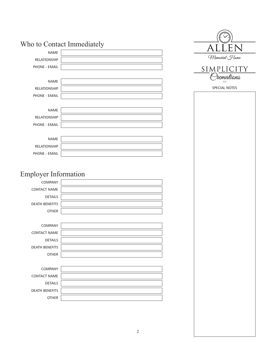|                             | Who to Contact Immediately |
|-----------------------------|----------------------------|
| <b>NAME</b>                 |                            |
| <b>RELATIONSHIP</b>         |                            |
| <b>PHONE - EMAIL</b>        |                            |
|                             |                            |
| <b>NAME</b>                 |                            |
| <b>RELATIONSHIP</b>         |                            |
| PHONE - EMAIL               |                            |
|                             |                            |
| <b>NAME</b>                 |                            |
| <b>RELATIONSHIP</b>         |                            |
| <b>PHONE - EMAIL</b>        |                            |
|                             |                            |
| <b>NAME</b>                 |                            |
| <b>RELATIONSHIP</b>         |                            |
| <b>PHONE - EMAIL</b>        |                            |
|                             |                            |
|                             |                            |
| <b>Employer Information</b> |                            |
| <b>COMPANY</b>              |                            |
| <b>CONTACT NAME</b>         |                            |
| <b>DETAILS</b>              |                            |
| <b>DEATH BENEFITS</b>       |                            |
| <b>OTHER</b>                |                            |
|                             |                            |
| <b>COMPANY</b>              |                            |
| <b>CONTACT NAME</b>         |                            |
| <b>DETAILS</b>              |                            |
| <b>DEATH BENEFITS</b>       |                            |
| <b>OTHER</b>                |                            |

| <b>COMPANY</b>        |  |
|-----------------------|--|
| <b>CONTACT NAME</b>   |  |
| <b>DETAILS</b>        |  |
| <b>DEATH BENEFITS</b> |  |
| <b>OTHER</b>          |  |

| LLEN<br>А                |  |
|--------------------------|--|
| Memorial Home            |  |
| SIMPLICITY<br>Oremations |  |
| LLC                      |  |
| <b>SPECIAL NOTES</b>     |  |
|                          |  |
|                          |  |
|                          |  |
|                          |  |
|                          |  |
|                          |  |
|                          |  |
|                          |  |
|                          |  |
|                          |  |
|                          |  |
|                          |  |
|                          |  |
|                          |  |
|                          |  |
|                          |  |
|                          |  |
|                          |  |
|                          |  |
|                          |  |
|                          |  |
|                          |  |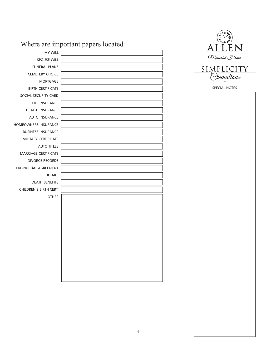|                             | Where are important papers located |  |
|-----------------------------|------------------------------------|--|
| <b>MY WILL</b>              |                                    |  |
| <b>SPOUSE WILL</b>          |                                    |  |
| <b>FUNERAL PLANS</b>        |                                    |  |
| <b>CEMETERY CHOICE</b>      |                                    |  |
| MORTGAGE                    |                                    |  |
| <b>BIRTH CERTIFICATE</b>    |                                    |  |
| SOCIAL SECURITY CARD        |                                    |  |
| LIFE INSURANCE              |                                    |  |
| HEALTH INSURANCE            |                                    |  |
| AUTO INSURANCE              |                                    |  |
| HOMEOWNERS INSURANCE        |                                    |  |
| <b>BUSINESS INSURANCE</b>   |                                    |  |
| MILITARY CERTIFICATE        |                                    |  |
| <b>AUTO TITLES</b>          |                                    |  |
| <b>MARRIAGE CERTIFICATE</b> |                                    |  |
| <b>DIVORCE RECORDS</b>      |                                    |  |
| PRE-NUPTIAL AGREEMENT       |                                    |  |
| <b>DETAILS</b>              |                                    |  |
| <b>DEATH BENEFITS</b>       |                                    |  |
| CHILDREN'S BIRTH CERT.      |                                    |  |
| <b>OTHER</b>                |                                    |  |
|                             |                                    |  |
|                             |                                    |  |
|                             |                                    |  |
|                             |                                    |  |
|                             |                                    |  |
|                             |                                    |  |
|                             |                                    |  |
|                             |                                    |  |
|                             |                                    |  |
|                             |                                    |  |
|                             |                                    |  |
|                             |                                    |  |
|                             |                                    |  |

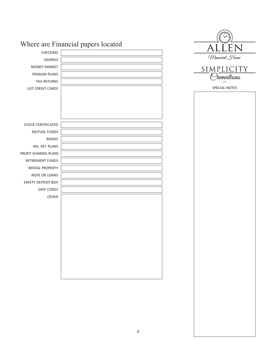|                      | Where are Financial papers located | ALLEN         |  |
|----------------------|------------------------------------|---------------|--|
| CHECKING             |                                    |               |  |
| <b>SAVINGS</b>       |                                    | Memorial Home |  |
| <b>MONEY MARKET</b>  |                                    | SIMPLICITY    |  |
| PENSION PLANS        |                                    | remations     |  |
| <b>TAX RETURNS</b>   |                                    | <b>LLC</b>    |  |
| LIST CREDIT CARDS    |                                    | SPECIAL NOTES |  |
|                      |                                    |               |  |
|                      |                                    |               |  |
|                      |                                    |               |  |
|                      |                                    |               |  |
| STOCK CERTIFICATED   |                                    |               |  |
| MUTUAL FUNDS         |                                    |               |  |
| <b>BONDS</b>         |                                    |               |  |
| IRA, 401 PLANS       |                                    |               |  |
| PROFIT SHARING PLANS |                                    |               |  |
| RETIREMENT FUNDS     |                                    |               |  |
| RENTAL PROPERTY      |                                    |               |  |
| NOTE OR LOANS        |                                    |               |  |
| SAFETY DEPOSIT BOX   |                                    |               |  |
| SAFE CODES           |                                    |               |  |
| OTHER                |                                    |               |  |
|                      |                                    |               |  |
|                      |                                    |               |  |
|                      |                                    |               |  |
|                      |                                    |               |  |
|                      |                                    |               |  |
|                      |                                    |               |  |
|                      |                                    |               |  |
|                      |                                    |               |  |
|                      |                                    |               |  |
|                      |                                    |               |  |
|                      |                                    |               |  |
|                      |                                    |               |  |
|                      |                                    |               |  |
|                      |                                    |               |  |
|                      |                                    |               |  |
|                      |                                    |               |  |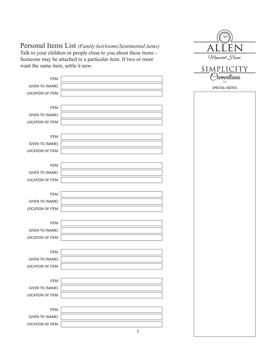# Personal Items List *(Family heirlooms/Sentimental items)*

Talk to your children or people close to you about these items - Someone may be attached to a particular item. If two or more want the same item, settle it now.

| ant the same item, settle it now. |                          | SIMPLICITY    |
|-----------------------------------|--------------------------|---------------|
| <b>ITEM</b>                       |                          | remations     |
| <b>GIVEN TO (NAME)</b>            |                          | LLC           |
| LOCATION OF ITEM                  |                          | SPECIAL NOTES |
|                                   |                          |               |
| <b>ITEM</b>                       |                          |               |
| <b>GIVEN TO (NAME)</b>            |                          |               |
| LOCATION OF ITEM                  |                          |               |
|                                   |                          |               |
| <b>ITEM</b>                       |                          |               |
| <b>GIVEN TO (NAME)</b>            |                          |               |
| LOCATION OF ITEM                  |                          |               |
|                                   |                          |               |
| <b>ITEM</b>                       |                          |               |
| <b>GIVEN TO (NAME)</b>            |                          |               |
| LOCATION OF ITEM                  |                          |               |
|                                   |                          |               |
| <b>ITEM</b>                       |                          |               |
| <b>GIVEN TO (NAME)</b>            |                          |               |
| LOCATION OF ITEM                  |                          |               |
|                                   |                          |               |
| <b>ITEM</b>                       |                          |               |
| <b>GIVEN TO (NAME)</b>            |                          |               |
| LOCATION OF ITEM                  |                          |               |
|                                   |                          |               |
| <b>ITEM</b>                       |                          |               |
| <b>GIVEN TO (NAME)</b>            |                          |               |
| LOCATION OF ITEM                  |                          |               |
|                                   |                          |               |
| <b>ITEM</b>                       |                          |               |
| <b>GIVEN TO (NAME)</b>            |                          |               |
| LOCATION OF ITEM                  |                          |               |
|                                   |                          |               |
| <b>ITEM</b>                       |                          |               |
| <b>GIVEN TO (NAME)</b>            |                          |               |
| LOCATION OF ITEM                  |                          |               |
|                                   | $\overline{\mathcal{L}}$ |               |

 $\lrcorner$ 

Memorial Home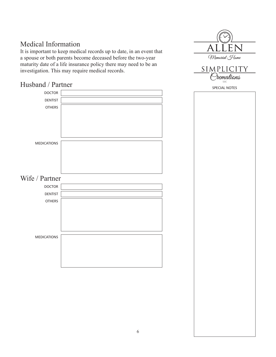# Medical Information

It is important to keep medical records up to date, in an event that a spouse or both parents become deceased before the two-year maturity date of a life insurance policy there may need to be an investigation. This may require medical records.

# Husband / Partner

![](_page_7_Figure_3.jpeg)

![](_page_7_Picture_4.jpeg)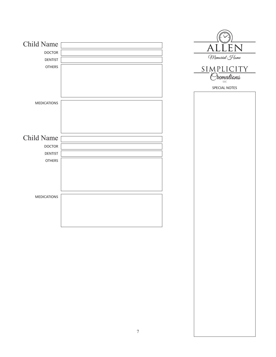| Child Name         |                  | ALLEN         |
|--------------------|------------------|---------------|
| <b>DOCTOR</b>      |                  | Memorial Home |
| <b>DENTIST</b>     |                  |               |
| <b>OTHERS</b>      |                  | SIMPLICITY    |
|                    |                  | Siemations    |
|                    |                  | SPECIAL NOTES |
|                    |                  |               |
| <b>MEDICATIONS</b> |                  |               |
|                    |                  |               |
|                    |                  |               |
|                    |                  |               |
| Child Name         |                  |               |
| <b>DOCTOR</b>      |                  |               |
| <b>DENTIST</b>     |                  |               |
| <b>OTHERS</b>      |                  |               |
|                    |                  |               |
|                    |                  |               |
|                    |                  |               |
| <b>MEDICATIONS</b> |                  |               |
|                    |                  |               |
|                    |                  |               |
|                    |                  |               |
|                    |                  |               |
|                    |                  |               |
|                    |                  |               |
|                    |                  |               |
|                    |                  |               |
|                    |                  |               |
|                    |                  |               |
|                    |                  |               |
|                    |                  |               |
|                    |                  |               |
|                    |                  |               |
|                    |                  |               |
|                    | $\boldsymbol{7}$ |               |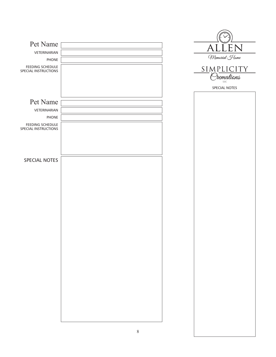| Pet Name                                 |         | ALLEN                     |
|------------------------------------------|---------|---------------------------|
| VETERINARIAN                             |         | Memorial Home             |
| <b>PHONE</b><br>FEEDING SCHEDULE         |         |                           |
| SPECIAL INSTRUCTIONS                     |         | SIMPLICITY                |
|                                          |         | remations<br>$_{\rm LLC}$ |
|                                          |         | SPECIAL NOTES             |
| Pet Name                                 |         |                           |
| VETERINARIAN                             |         |                           |
| PHONE                                    |         |                           |
| FEEDING SCHEDULE<br>SPECIAL INSTRUCTIONS |         |                           |
|                                          |         |                           |
|                                          |         |                           |
|                                          |         |                           |
| SPECIAL NOTES                            |         |                           |
|                                          |         |                           |
|                                          |         |                           |
|                                          |         |                           |
|                                          |         |                           |
|                                          |         |                           |
|                                          |         |                           |
|                                          |         |                           |
|                                          |         |                           |
|                                          |         |                           |
|                                          |         |                           |
|                                          |         |                           |
|                                          |         |                           |
|                                          |         |                           |
|                                          |         |                           |
|                                          |         |                           |
|                                          |         |                           |
|                                          |         |                           |
|                                          |         |                           |
|                                          |         |                           |
|                                          | $\,8\,$ |                           |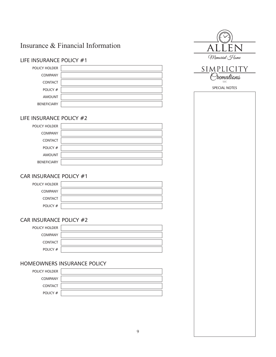# Insurance & Financial Information

# LIFE INSURANCE POLICY #1 POLICY HOLDER COMPANY CONTACT POLICY # AMOUNT BENEFICIARY

## LIFE INSURANCE POLICY #2

| POLICY HOLDER      |  |
|--------------------|--|
| <b>COMPANY</b>     |  |
| <b>CONTACT</b>     |  |
| POLICY #           |  |
| <b>AMOUNT</b>      |  |
| <b>BENEFICIARY</b> |  |

# CAR INSURANCE POLICY #1

| POLICY HOLDER  |  |
|----------------|--|
|                |  |
| <b>COMPANY</b> |  |
|                |  |
| <b>CONTACT</b> |  |
|                |  |
| POLICY #       |  |
|                |  |

## CAR INSURANCE POLICY #2

| <b>POLICY HOLDER</b> |  |
|----------------------|--|
| <b>COMPANY</b>       |  |
| <b>CONTACT</b>       |  |
| POLICY #             |  |

## HOMEOWNERS INSURANCE POLICY

| POLICY HOLDER  |  |
|----------------|--|
| <b>COMPANY</b> |  |
| <b>CONTACT</b> |  |
| POLICY #       |  |

| ĽEN                      |  |
|--------------------------|--|
| Memorial Home            |  |
| SIMPLICITY<br>Oremations |  |
|                          |  |
| SPECIAL NOTES            |  |
|                          |  |
|                          |  |
|                          |  |
|                          |  |
|                          |  |
|                          |  |
|                          |  |
|                          |  |
|                          |  |
|                          |  |
|                          |  |
|                          |  |
|                          |  |
|                          |  |
|                          |  |
|                          |  |
|                          |  |
|                          |  |
|                          |  |
|                          |  |
|                          |  |
|                          |  |
|                          |  |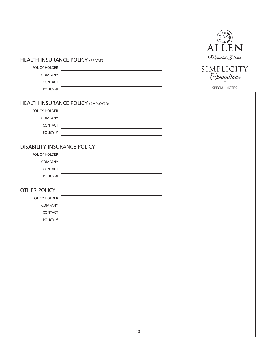## HEALTH INSURANCE POLICY (PRIVATE)

POLICY HOLDER COMPANY CONTACT

![](_page_11_Picture_2.jpeg)

# HEALTH INSURANCE POLICY (EMPLOYER)

| POLICY HOLDER  |  |
|----------------|--|
| <b>COMPANY</b> |  |
| <b>CONTACT</b> |  |
| POLICY #       |  |

#### DISABILITY INSURANCE POLICY

| POLICY HOLDER  |  |
|----------------|--|
| <b>COMPANY</b> |  |
| <b>CONTACT</b> |  |
| POLICY #       |  |

# OTHER POLICY

| POLICY HOLDER  |  |
|----------------|--|
| <b>COMPANY</b> |  |
| <b>CONTACT</b> |  |
| POLICY #       |  |

| S L                      |  |
|--------------------------|--|
| LLEN                     |  |
| Memorial Home            |  |
| SIMPLICITY<br>Oremations |  |
| LLC                      |  |
| SPECIAL NOTES            |  |
|                          |  |
|                          |  |
|                          |  |
|                          |  |
|                          |  |
|                          |  |
|                          |  |
|                          |  |
|                          |  |
|                          |  |
|                          |  |
|                          |  |
|                          |  |
|                          |  |
|                          |  |
|                          |  |
|                          |  |
|                          |  |
|                          |  |
|                          |  |
|                          |  |
|                          |  |
|                          |  |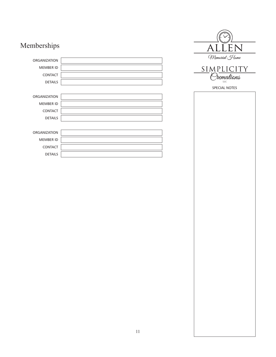# Memberships

| <b>ORGANIZATION</b> |  |
|---------------------|--|
| <b>MEMBER ID</b>    |  |
| <b>CONTACT</b>      |  |
| <b>DETAILS</b>      |  |
|                     |  |
| <b>ORGANIZATION</b> |  |
| <b>MEMBER ID</b>    |  |
|                     |  |
| <b>CONTACT</b>      |  |
| <b>DETAILS</b>      |  |
|                     |  |
| <b>ORGANIZATION</b> |  |
| <b>MEMBER ID</b>    |  |
| <b>CONTACT</b>      |  |
| <b>DETAILS</b>      |  |

![](_page_12_Picture_2.jpeg)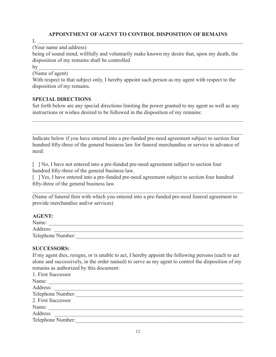#### **APPOINTMENT OF AGENT TO CONTROL DISPOSITION OF REMAINS**

 $\rm I,\,\,\,\,$ 

(Your name and address)

being of sound mind, willfully and voluntarily make known my desire that, upon my death, the disposition of my remains shall be controlled

by

(Name of agent)

With respect to that subject only, I hereby appoint such person as my agent with respect to the disposition of my remains.

#### **SPECIAL DIRECTIONS**

Set forth below are any special directions limiting the power granted to my agent as well as any instructions or wishes desired to be followed in the disposition of my remains:

 $\mathcal{L}_\text{G}$  , and the contribution of the contribution of the contribution of the contribution of the contribution of the contribution of the contribution of the contribution of the contribution of the contribution of t

Indicate below if you have entered into a pre-funded pre-need agreement subject to section four hundred fifty-three of the general business law for funeral merchandise or service in advance of need:

[ ] No, I have not entered into a pre-funded pre-need agreement subject to section four hundred fifty-three of the general business law.

[ ] Yes, I have entered into a pre-funded pre-need agreement subject to section four hundred fifty-three of the general business law.

(Name of funeral firm with which you entered into a pre-funded pre-need funeral agreement to provide merchandise and/or services)

#### **AGENT:**

| Name:             |  |
|-------------------|--|
| Address:          |  |
| Telephone Number: |  |

#### **SUCCESSORS:**

If my agent dies, resigns, or is unable to act, I hereby appoint the following persons (each to act alone and successively, in the order named) to serve as my agent to control the disposition of my remains as authorized by this document:

| 1. First Successor |
|--------------------|
| Name:              |
| Address:           |
| Telephone Number:  |
| 2. First Successor |
| Name:              |
| Address:           |
| Telephone Number:  |
|                    |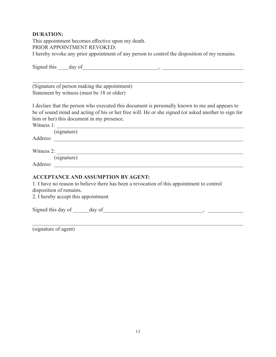## **DURATION:**

This appointment becomes effective upon my death. PRIOR APPOINTMENT REVOKED: I hereby revoke any prior appointment of any person to control the disposition of my remains.

| (Signature of person making the appointment)                                                                                                                                                                                   |
|--------------------------------------------------------------------------------------------------------------------------------------------------------------------------------------------------------------------------------|
| Statement by witness (must be 18 or older)                                                                                                                                                                                     |
| I declare that the person who executed this document is personally known to me and appears to                                                                                                                                  |
| be of sound mind and acting of his or her free will. He or she signed (or asked another to sign for                                                                                                                            |
| him or her) this document in my presence.                                                                                                                                                                                      |
| Witness $1:$                                                                                                                                                                                                                   |
| (signature)                                                                                                                                                                                                                    |
|                                                                                                                                                                                                                                |
|                                                                                                                                                                                                                                |
| Witness 2: $\qquad \qquad$<br>(signature)                                                                                                                                                                                      |
|                                                                                                                                                                                                                                |
| Address: Note that the contract of the contract of the contract of the contract of the contract of the contract of the contract of the contract of the contract of the contract of the contract of the contract of the contrac |
| <b>ACCEPTANCE AND ASSUMPTION BY AGENT:</b>                                                                                                                                                                                     |
| 1. I have no reason to believe there has been a revocation of this appointment to control                                                                                                                                      |
| disposition of remains.                                                                                                                                                                                                        |
| 2. I hereby accept this appointment                                                                                                                                                                                            |
|                                                                                                                                                                                                                                |
|                                                                                                                                                                                                                                |

(signature of agent)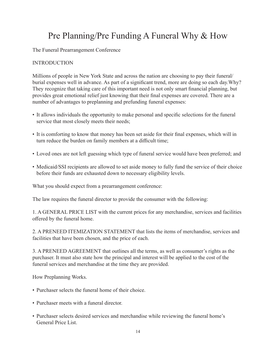# Pre Planning/Pre Funding A Funeral Why & How

The Funeral Prearrangement Conference

#### **INTRODUCTION**

Millions of people in New York State and across the nation are choosing to pay their funeral/ burial expenses well in advance. As part of a significant trend, more are doing so each day.Why? They recognize that taking care of this important need is not only smart financial planning, but provides great emotional relief just knowing that their final expenses are covered. There are a number of advantages to preplanning and prefunding funeral expenses:

- It allows individuals the opportunity to make personal and specific selections for the funeral service that most closely meets their needs;
- It is comforting to know that money has been set aside for their final expenses, which will in turn reduce the burden on family members at a difficult time;
- Loved ones are not left guessing which type of funeral service would have been preferred; and
- Medicaid/SSI recipients are allowed to set aside money to fully fund the service of their choice before their funds are exhausted down to necessary eligibility levels.

What you should expect from a prearrangement conference:

The law requires the funeral director to provide the consumer with the following:

1. A GENERAL PRICE LIST with the current prices for any merchandise, services and facilities offered by the funeral home.

2. A PRENEED ITEMIZATION STATEMENT that lists the items of merchandise, services and facilities that have been chosen, and the price of each.

3. A PRENEED AGREEMENT that outlines all the terms, as well as consumer's rights as the purchaser. It must also state how the principal and interest will be applied to the cost of the funeral services and merchandise at the time they are provided.

How Preplanning Works.

- Purchaser selects the funeral home of their choice.
- Purchaser meets with a funeral director.
- Purchaser selects desired services and merchandise while reviewing the funeral home's General Price List.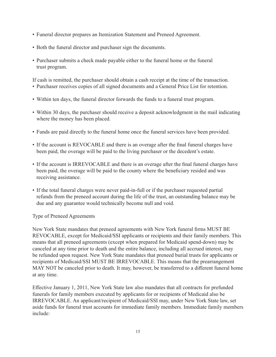- Funeral director prepares an Itemization Statement and Preneed Agreement.
- Both the funeral director and purchaser sign the documents.
- Purchaser submits a check made payable either to the funeral home or the funeral trust program.

If cash is remitted, the purchaser should obtain a cash receipt at the time of the transaction.

- Purchaser receives copies of all signed documents and a General Price List for retention.
- Within ten days, the funeral director forwards the funds to a funeral trust program.
- Within 30 days, the purchaser should receive a deposit acknowledgment in the mail indicating where the money has been placed.
- Funds are paid directly to the funeral home once the funeral services have been provided.
- If the account is REVOCABLE and there is an overage after the final funeral charges have been paid, the overage will be paid to the living purchaser or the decedent's estate.
- If the account is IRREVOCABLE and there is an overage after the final funeral charges have been paid, the overage will be paid to the county where the beneficiary resided and was receiving assistance.
- If the total funeral charges were never paid-in-full or if the purchaser requested partial refunds from the preneed account during the life of the trust, an outstanding balance may be due and any guarantee would technically become null and void.

Type of Preneed Agreements

New York State mandates that preneed agreements with New York funeral firms MUST BE REVOCABLE, except for Medicaid/SSI applicants or recipients and their family members. This means that all preneed agreements (except when prepared for Medicaid spend-down) may be canceled at any time prior to death and the entire balance, including all accrued interest, may be refunded upon request. New York State mandates that preneed burial trusts for applicants or recipients of Medicaid/SSI MUST BE IRREVOCABLE. This means that the prearrangement MAY NOT be canceled prior to death. It may, however, be transferred to a different funeral home at any time.

Effective January 1, 2011, New York State law also mandates that all contracts for prefunded funerals for family members executed by applicants for or recipients of Medicaid also be IRREVOCABLE. An applicant/recipient of Medicaid/SSI may, under New York State law, set aside funds for funeral trust accounts for immediate family members. Immediate family members include: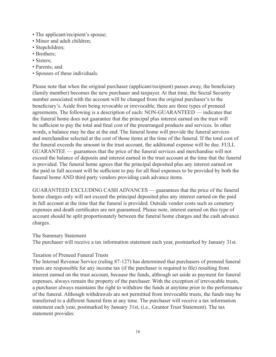- The applicant/recipient's spouse;
- Minor and adult children;
- Stepchildren;
- Brothers;
- Sisters;
- Parents; and
- Spouses of these individuals.

Please note that when the original purchaser (applicant/recipient) passes away, the beneficiary (family member) becomes the new purchaser and taxpayer. At that time, the Social Security number associated with the account will be changed from the original purchaser's to the beneficiary's. Aside from being revocable or irrevocable, there are three types of preneed agreements. The following is a description of each: NON-GUARANTEED — indicates that the funeral home does not guarantee that the principal plus interest earned on the trust will be sufficient to pay the total and final cost of the prearranged products and services. In other words, a balance may be due at the end. The funeral home will provide the funeral services and merchandise selected at the cost of those items at the time of the funeral. If the total cost of the funeral exceeds the amount in the trust account, the additional expense will be due. FULL GUARANTEE — guarantees that the price of the funeral services and merchandise will not exceed the balance of deposits and interest earned in the trust account at the time that the funeral is provided. The funeral home agrees that the principal deposited plus any interest earned on the paid in full account will be sufficient to pay for all final expenses to be provided by both the funeral home AND third party vendors providing cash advance items.

GUARANTEED EXCLUDING CASH ADVANCES — guarantees that the price of the funeral home charges only will not exceed the principal deposited plus any interest earned on the paid in full account at the time that the funeral is provided. Outside vendor costs such as cemetery expenses and death certificates are not guaranteed. Please note, interest earned on this type of account should be split proportionately between the funeral home charges and the cash advance charges.

#### The Summary Statement

The purchaser will receive a tax information statement each year, postmarked by January 31st.

#### Taxation of Preneed Funeral Trusts

The Internal Revenue Service (ruling 87-127) has determined that purchasers of preneed funeral trusts are responsible for any income tax (if the purchaser is required to file) resulting from interest earned on the trust account, because the funds, although set aside as payment for funeral expenses, always remain the property of the purchaser. With the exception of irrevocable trusts, a purchaser always maintains the right to withdraw the funds at anytime prior to the performance of the funeral. Although withdrawals are not permitted from irrevocable trusts, the funds may be transferred to a different funeral firm at any time. The purchaser will receive a tax information statement each year, postmarked by January 31st, (i.e., Grantor Trust Statement). The tax statement provides: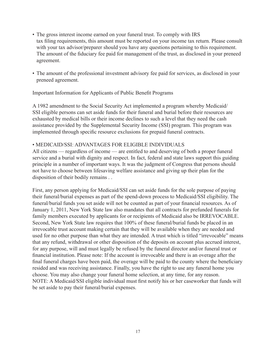- The gross interest income earned on your funeral trust. To comply with IRS tax filing requirements, this amount must be reported on your income tax return. Please consult with your tax advisor/preparer should you have any questions pertaining to this requirement. The amount of the fiduciary fee paid for management of the trust, as disclosed in your preneed agreement.
- The amount of the professional investment advisory fee paid for services, as disclosed in your preneed agreement.

#### Important Information for Applicants of Public Benefit Programs

A 1982 amendment to the Social Security Act implemented a program whereby Medicaid/ SSI eligible persons can set aside funds for their funeral and burial before their resources are exhausted by medical bills or their income declines to such a level that they need the cash assistance provided by the Supplemental Security Income (SSI) program. This program was implemented through specific resource exclusions for prepaid funeral contracts.

#### • MEDICAID/SSI: ADVANTAGES FOR ELIGIBLE INDIVIDUALS

All citizens — regardless of income — are entitled to and deserving of both a proper funeral service and a burial with dignity and respect. In fact, federal and state laws support this guiding principle in a number of important ways. It was the judgment of Congress that persons should not have to choose between lifesaving welfare assistance and giving up their plan for the disposition of their bodily remains . .

First, any person applying for Medicaid/SSI can set aside funds for the sole purpose of paying their funeral/burial expenses as part of the spend-down process to Medicaid/SSI eligibility. The funeral/burial funds you set aside will not be counted as part of your financial resources. As of January 1, 2011, New York State law also mandates that all contracts for prefunded funerals for family members executed by applicants for or recipients of Medicaid also be IRREVOCABLE. Second, New York State law requires that 100% of these funeral/burial funds be placed in an irrevocable trust account making certain that they will be available when they are needed and used for no other purpose than what they are intended. A trust which is titled "irrevocable" means that any refund, withdrawal or other disposition of the deposits on account plus accrued interest, for any purpose, will and must legally be refused by the funeral director and/or funeral trust or financial institution. Please note: If the account is irrevocable and there is an overage after the final funeral charges have been paid, the overage will be paid to the county where the beneficiary resided and was receiving assistance. Finally, you have the right to use any funeral home you choose. You may also change your funeral home selection, at any time, for any reason. NOTE: A Medicaid/SSI eligible individual must first notify his or her caseworker that funds will be set aside to pay their funeral/burial expenses.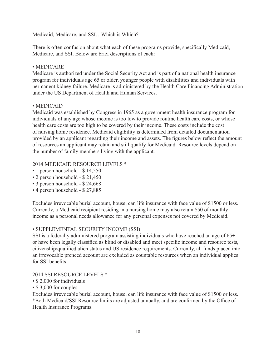Medicaid, Medicare, and SSI…Which is Which?

There is often confusion about what each of these programs provide, specifically Medicaid, Medicare, and SSI. Below are brief descriptions of each:

## • MEDICARE

Medicare is authorized under the Social Security Act and is part of a national health insurance program for individuals age 65 or older, younger people with disabilities and individuals with permanent kidney failure. Medicare is administered by the Health Care Financing Administration under the US Department of Health and Human Services.

## • MEDICAID

Medicaid was established by Congress in 1965 as a government health insurance program for individuals of any age whose income is too low to provide routine health care costs, or whose health care costs are too high to be covered by their income. These costs include the cost of nursing home residence. Medicaid eligibility is determined from detailed documentation provided by an applicant regarding their income and assets. The figures below reflect the amount of resources an applicant may retain and still qualify for Medicaid. Resource levels depend on the number of family members living with the applicant.

## 2014 MEDICAID RESOURCE LEVELS \*

- 1 person household \$ 14,550
- 2 person household \$ 21,450
- 3 person household \$ 24,668
- 4 person household \$ 27,885

Excludes irrevocable burial account, house, car, life insurance with face value of \$1500 or less. Currently, a Medicaid recipient residing in a nursing home may also retain \$50 of monthly income as a personal needs allowance for any personal expenses not covered by Medicaid.

## • SUPPLEMENTAL SECURITY INCOME (SSI)

SSI is a federally administered program assisting individuals who have reached an age of 65+ or have been legally classified as blind or disabled and meet specific income and resource tests, citizenship/qualified alien status and US residence requirements. Currently, all funds placed into an irrevocable preneed account are excluded as countable resources when an individual applies for SSI benefits.

#### 2014 SSI RESOURCE LEVELS \*

- \$ 2,000 for individuals
- \$ 3,000 for couples

Excludes irrevocable burial account, house, car, life insurance with face value of \$1500 or less. \*Both Medicaid/SSI Resource limits are adjusted annually, and are confirmed by the Office of Health Insurance Programs.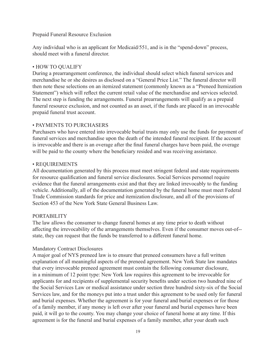#### Prepaid Funeral Resource Exclusion

Any individual who is an applicant for Medicaid/551, and is in the "spend-down" process, should meet with a funeral director.

#### • HOW TO QUALIFY

During a prearrangement conference, the individual should select which funeral services and merchandise he or she desires as disclosed on a "General Price List." The funeral director will then note these selections on an itemized statement (commonly known as a "Preneed Itemization Statement") which will reflect the current retail value of the merchandise and services selected. The next step is funding the arrangements. Funeral prearrangements will qualify as a prepaid funeral resource exclusion, and not counted as an asset, if the funds are placed in an irrevocable prepaid funeral trust account.

#### • PAYMENTS TO PURCHASERS

Purchasers who have entered into irrevocable burial trusts may only use the funds for payment of funeral services and merchandise upon the death of the intended funeral recipient. If the account is irrevocable and there is an overage after the final funeral charges have been paid, the overage will be paid to the county where the beneficiary resided and was receiving assistance.

#### • REQUIREMENTS

All documentation generated by this process must meet stringent federal and state requirements for resource qualification and funeral service disclosures. Social Services personnel require evidence that the funeral arrangements exist and that they are linked irrevocably to the funding vehicle. Additionally, all of the documentation generated by the funeral home must meet Federal Trade Commission standards for price and itemization disclosure, and all of the provisions of Section 453 of the New York State General Business Law.

#### PORTABILITY

The law allows the consumer to change funeral homes at any time prior to death without affecting the irrevocability of the arrangements themselves. Even if the consumer moves out-of- state, they can request that the funds be transferred to a different funeral home.

#### Mandatory Contract Disclosures

A major goal of NYS preneed law is to ensure that preneed consumers have a full written explanation of all meaningful aspects of the preneed agreement. New York State law mandates that every irrevocable preneed agreement must contain the following consumer disclosure, in a minimum of 12 point type: New York law requires this agreement to be irrevocable for applicants for and recipients of supplemental security benefits under section two hundred nine of the Social Services Law or medical assistance under section three hundred sixty-six of the Social Services law, and for the moneys put into a trust under this agreement to be used only for funeral and burial expenses. Whether the agreement is for your funeral and burial expenses or for those of a family member, if any money is left over after your funeral and burial expenses have been paid, it will go to the county. You may change your choice of funeral home at any time. If this agreement is for the funeral and burial expenses of a family member, after your death such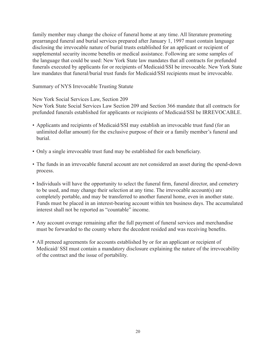family member may change the choice of funeral home at any time. All literature promoting prearranged funeral and burial services prepared after January 1, 1997 must contain language disclosing the irrevocable nature of burial trusts established for an applicant or recipient of supplemental security income benefits or medical assistance. Following are some samples of the language that could be used: New York State law mandates that all contracts for prefunded funerals executed by applicants for or recipients of Medicaid/SSI be irrevocable. New York State law mandates that funeral/burial trust funds for Medicaid/SSI recipients must be irrevocable.

Summary of NYS Irrevocable Trusting Statute

New York Social Services Law, Section 209

New York State Social Services Law Section 209 and Section 366 mandate that all contracts for prefunded funerals established for applicants or recipients of Medicaid/SSI be IRREVOCABLE.

- Applicants and recipients of Medicaid/SSI may establish an irrevocable trust fund (for an unlimited dollar amount) for the exclusive purpose of their or a family member's funeral and burial.
- Only a single irrevocable trust fund may be established for each beneficiary.
- The funds in an irrevocable funeral account are not considered an asset during the spend-down process.
- Individuals will have the opportunity to select the funeral firm, funeral director, and cemetery to be used, and may change their selection at any time. The irrevocable account(s) are completely portable, and may be transferred to another funeral home, even in another state. Funds must be placed in an interest-bearing account within ten business days. The accumulated interest shall not be reported as "countable" income.
- Any account overage remaining after the full payment of funeral services and merchandise must be forwarded to the county where the decedent resided and was receiving benefits.
- All preneed agreements for accounts established by or for an applicant or recipient of Medicaid/ SSI must contain a mandatory disclosure explaining the nature of the irrevocability of the contract and the issue of portability.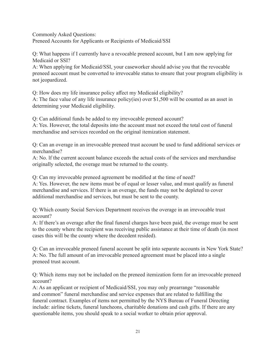Commonly Asked Questions:

Preneed Accounts for Applicants or Recipients of Medicaid/SSI

Q: What happens if I currently have a revocable preneed account, but I am now applying for Medicaid or SSI?

A: When applying for Medicaid/SSI, your caseworker should advise you that the revocable preneed account must be converted to irrevocable status to ensure that your program eligibility is not jeopardized.

Q: How does my life insurance policy affect my Medicaid eligibility? A: The face value of any life insurance policy(ies) over \$1,500 will be counted as an asset in determining your Medicaid eligibility.

Q: Can additional funds be added to my irrevocable preneed account?

A: Yes. However, the total deposits into the account must not exceed the total cost of funeral merchandise and services recorded on the original itemization statement.

Q: Can an overage in an irrevocable preneed trust account be used to fund additional services or merchandise?

A: No. lf the current account balance exceeds the actual costs of the services and merchandise originally selected, the overage must be returned to the county.

Q: Can my irrevocable preneed agreement be modified at the time of need?

A: Yes. However, the new items must be of equal or lesser value, and must qualify as funeral merchandise and services. If there is an overage, the funds may not be depleted to cover additional merchandise and services, but must be sent to the county.

Q: Which county Social Services Department receives the overage in an irrevocable trust account?

A: If there's an overage after the final funeral charges have been paid, the overage must be sent to the county where the recipient was receiving public assistance at their time of death (in most cases this will be the county where the decedent resided).

Q: Can an irrevocable preneed funeral account be split into separate accounts in New York State? A: No. The full amount of an irrevocable preneed agreement must be placed into a single preneed trust account.

Q: Which items may not be included on the preneed itemization form for an irrevocable preneed account?

A: As an applicant or recipient of Medicaid/SSI, you may only prearrange "reasonable and common" funeral merchandise and service expenses that are related to fulfilling the funeral contract. Examples of items not permitted by the NYS Bureau of Funeral Directing include: airline tickets, funeral luncheons, charitable donations and cash gifts. If there are any questionable items, you should speak to a social worker to obtain prior approval.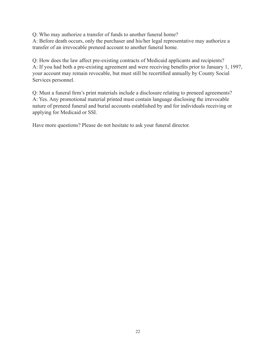Q: Who may authorize a transfer of funds to another funeral home?

A: Before death occurs, only the purchaser and his/her legal representative may authorize a transfer of an irrevocable preneed account to another funeral home.

Q: How does the law affect pre-existing contracts of Medicaid applicants and recipients? A: If you had both a pre-existing agreement and were receiving benefits prior to January 1, 1997, your account may remain revocable, but must still be recertified annually by County Social Services personnel.

Q: Must a funeral firm's print materials include a disclosure relating to preneed agreements? A: Yes. Any promotional material printed must contain language disclosing the irrevocable nature of preneed funeral and burial accounts established by and for individuals receiving or applying for Medicaid or SSI.

Have more questions? Please do not hesitate to ask your funeral director.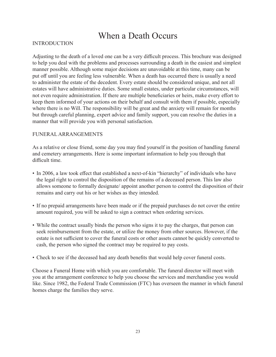# When a Death Occurs

#### INTRODUCTION

Adjusting to the death of a loved one can be a very difficult process. This brochure was designed to help you deal with the problems and processes surrounding a death in the easiest and simplest manner possible. Although some major decisions are unavoidable at this time, many can be put off until you are feeling less vulnerable. When a death has occurred there is usually a need to administer the estate of the decedent. Every estate should be considered unique, and not all estates will have administrative duties. Some small estates, under particular circumstances, will not even require administration. If there are multiple beneficiaries or heirs, make every effort to keep them informed of your actions on their behalf and consult with them if possible, especially where there is no Will. The responsibility will be great and the anxiety will remain for months but through careful planning, expert advice and family support, you can resolve the duties in a manner that will provide you with personal satisfaction.

#### FUNERAL ARRANGEMENTS

As a relative or close friend, some day you may find yourself in the position of handling funeral and cemetery arrangements. Here is some important information to help you through that difficult time.

- In 2006, a law took effect that established a next-of-kin "hierarchy" of individuals who have the legal right to control the disposition of the remains of a deceased person. This law also allows someone to formally designate/ appoint another person to control the disposition of their remains and carry out his or her wishes as they intended.
- If no prepaid arrangements have been made or if the prepaid purchases do not cover the entire amount required, you will be asked to sign a contract when ordering services.
- While the contract usually binds the person who signs it to pay the charges, that person can seek reimbursement from the estate, or utilize the money from other sources. However, if the estate is not sufficient to cover the funeral costs or other assets cannot be quickly converted to cash, the person who signed the contract may be required to pay costs.
- Check to see if the deceased had any death benefits that would help cover funeral costs.

Choose a Funeral Home with which you are comfortable. The funeral director will meet with you at the arrangement conference to help you choose the services and merchandise you would like. Since 1982, the Federal Trade Commission (FTC) has overseen the manner in which funeral homes charge the families they serve.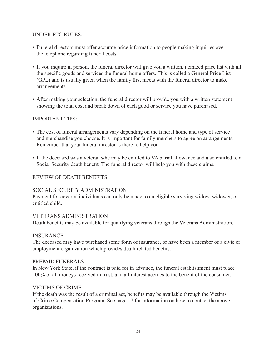#### UNDER FTC RULES:

- Funeral directors must offer accurate price information to people making inquiries over the telephone regarding funeral costs.
- If you inquire in person, the funeral director will give you a written, itemized price list with all the specific goods and services the funeral home offers. This is called a General Price List (GPL) and is usually given when the family first meets with the funeral director to make arrangements.
- After making your selection, the funeral director will provide you with a written statement showing the total cost and break down of each good or service you have purchased.

#### IMPORTANT TIPS:

- The cost of funeral arrangements vary depending on the funeral home and type of service and merchandise you choose. It is important for family members to agree on arrangements. Remember that your funeral director is there to help you.
- If the deceased was a veteran s/he may be entitled to VA burial allowance and also entitled to a Social Security death benefit. The funeral director will help you with these claims.

#### REVIEW OF DEATH BENEFITS

#### SOCIAL SECURITY ADMINISTRATION

Payment for covered individuals can only be made to an eligible surviving widow, widower, or entitled child.

#### VETERANS ADMINISTRATION

Death benefits may be available for qualifying veterans through the Veterans Administration.

#### INSURANCE

The deceased may have purchased some form of insurance, or have been a member of a civic or employment organization which provides death related benefits.

#### PREPAID FUNERALS

In New York State, if the contract is paid for in advance, the funeral establishment must place 100% of all moneys received in trust, and all interest accrues to the benefit of the consumer.

#### VICTIMS OF CRIME

If the death was the result of a criminal act, benefits may be available through the Victims of Crime Compensation Program. See page 17 for information on how to contact the above organizations.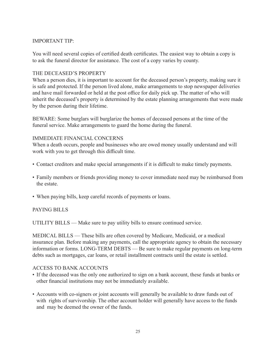#### IMPORTANT TIP:

You will need several copies of certified death certificates. The easiest way to obtain a copy is to ask the funeral director for assistance. The cost of a copy varies by county.

#### THE DECEASED'S PROPERTY

When a person dies, it is important to account for the deceased person's property, making sure it is safe and protected. If the person lived alone, make arrangements to stop newspaper deliveries and have mail forwarded or held at the post office for daily pick up. The matter of who will inherit the deceased's property is determined by the estate planning arrangements that were made by the person during their lifetime.

BEWARE: Some burglars will burglarize the homes of deceased persons at the time of the funeral service. Make arrangements to guard the home during the funeral.

#### IMMEDIATE FINANCIAL CONCERNS

When a death occurs, people and businesses who are owed money usually understand and will work with you to get through this difficult time.

- Contact creditors and make special arrangements if it is difficult to make timely payments.
- Family members or friends providing money to cover immediate need may be reimbursed from the estate.
- When paying bills, keep careful records of payments or loans.

#### PAYING BILLS

UTILITY BILLS — Make sure to pay utility bills to ensure continued service.

MEDICAL BILLS — These bills are often covered by Medicare, Medicaid, or a medical insurance plan. Before making any payments, call the appropriate agency to obtain the necessary information or forms. LONG-TERM DEBTS — Be sure to make regular payments on long-term debts such as mortgages, car loans, or retail installment contracts until the estate is settled.

#### ACCESS TO BANK ACCOUNTS

- If the deceased was the only one authorized to sign on a bank account, these funds at banks or other financial institutions may not be immediately available.
- Accounts with co-signers or joint accounts will generally be available to draw funds out of with rights of survivorship. The other account holder will generally have access to the funds and may be deemed the owner of the funds.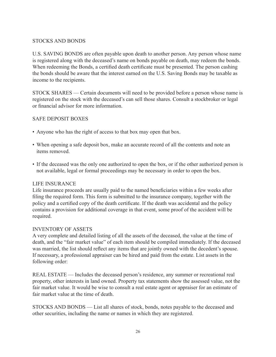#### STOCKS AND BONDS

U.S. SAVING BONDS are often payable upon death to another person. Any person whose name is registered along with the deceased's name on bonds payable on death, may redeem the bonds. When redeeming the Bonds, a certified death certificate must be presented. The person cashing the bonds should be aware that the interest earned on the U.S. Saving Bonds may be taxable as income to the recipients.

STOCK SHARES — Certain documents will need to be provided before a person whose name is registered on the stock with the deceased's can sell those shares. Consult a stockbroker or legal or financial advisor for more information.

#### SAFE DEPOSIT BOXES

- Anyone who has the right of access to that box may open that box.
- When opening a safe deposit box, make an accurate record of all the contents and note an items removed.
- If the deceased was the only one authorized to open the box, or if the other authorized person is not available, legal or formal proceedings may be necessary in order to open the box.

#### LIFE INSURANCE

Life insurance proceeds are usually paid to the named beneficiaries within a few weeks after filing the required form. This form is submitted to the insurance company, together with the policy and a certified copy of the death certificate. If the death was accidental and the policy contains a provision for additional coverage in that event, some proof of the accident will be required.

#### INVENTORY OF ASSETS

A very complete and detailed listing of all the assets of the deceased, the value at the time of death, and the "fair market value" of each item should be compiled immediately. If the deceased was married, the list should reflect any items that are jointly owned with the decedent's spouse. If necessary, a professional appraiser can be hired and paid from the estate. List assets in the following order:

REAL ESTATE — Includes the deceased person's residence, any summer or recreational real property, other interests in land owned. Property tax statements show the assessed value, not the fair market value. It would be wise to consult a real estate agent or appraiser for an estimate of fair market value at the time of death.

STOCKS AND BONDS — List all shares of stock, bonds, notes payable to the deceased and other securities, including the name or names in which they are registered.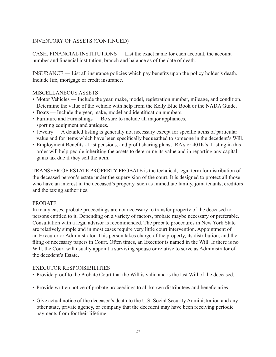## INVENTORY OF ASSETS (CONTINUED)

CASH, FINANCIAL INSTITUTIONS — List the exact name for each account, the account number and financial institution, branch and balance as of the date of death.

INSURANCE — List all insurance policies which pay benefits upon the policy holder's death. Include life, mortgage or credit insurance.

#### MISCELLANEOUS ASSETS

- Motor Vehicles Include the year, make, model, registration number, mileage, and condition. Determine the value of the vehicle with help from the Kelly Blue Book or the NADA Guide.
- Boats Include the year, make, model and identification numbers.
- Furniture and Furnishings Be sure to include all major appliances, sporting equipment and antiques.
- Jewelry A detailed listing is generally not necessary except for specific items of particular value and for items which have been specifically bequeathed to someone in the decedent's Will.
- Employment Benefits List pensions, and profit sharing plans, IRA's or 401K's. Listing in this order will help people inheriting the assets to determine its value and in reporting any capital gains tax due if they sell the item.

TRANSFER OF ESTATE PROPERTY PROBATE is the technical, legal term for distribution of the deceased person's estate under the supervision of the court. It is designed to protect all those who have an interest in the deceased's property, such as immediate family, joint tenants, creditors and the taxing authorities.

#### PROBATE

In many cases, probate proceedings are not necessary to transfer property of the deceased to persons entitled to it. Depending on a variety of factors, probate maybe necessary or preferable. Consultation with a legal advisor is recommended. The probate procedures in New York State are relatively simple and in most cases require very little court intervention. Appointment of an Executor or Administrator. This person takes charge of the property, its distribution, and the filing of necessary papers in Court. Often times, an Executor is named in the Will. If there is no Will, the Court will usually appoint a surviving spouse or relative to serve as Administrator of the decedent's Estate.

#### EXECUTOR RESPONSIBILITIES

- Provide proof to the Probate Court that the Will is valid and is the last Will of the deceased.
- Provide written notice of probate proceedings to all known distributees and beneficiaries.
- Give actual notice of the deceased's death to the U.S. Social Security Administration and any other state, private agency, or company that the decedent may have been receiving periodic payments from for their lifetime.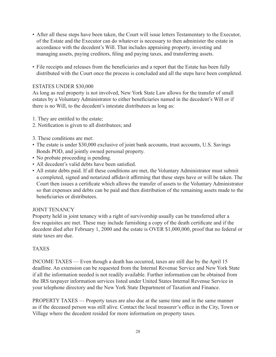- After all these steps have been taken, the Court will issue letters Testamentary to the Executor, of the Estate and the Executor can do whatever is necessary to then administer the estate in accordance with the decedent's Will. That includes appraising property, investing and managing assets, paying creditors, filing and paying taxes, and transferring assets.
- File receipts and releases from the beneficiaries and a report that the Estate has been fully distributed with the Court once the process is concluded and all the steps have been completed.

#### ESTATES UNDER \$30,000

As long as real property is not involved, New York State Law allows for the transfer of small estates by a Voluntary Administrator to either beneficiaries named in the decedent's Will or if there is no Will, to the decedent's intestate distributees as long as:

- 1. They are entitled to the estate;
- 2. Notification is given to all distributees; and
- 3. These conditions are met:
- The estate is under \$30,000 exclusive of joint bank accounts, trust accounts, U.S. Savings Bonds POD, and jointly owned personal property.
- No probate proceeding is pending.
- All decedent's valid debts have been satisfied.
- All estate debts paid. If all these conditions are met, the Voluntary Administrator must submit a completed, signed and notarized affidavit affirming that these steps have or will be taken. The Court then issues a certificate which allows the transfer of assets to the Voluntary Administrator so that expenses and debts can be paid and then distribution of the remaining assets made to the beneficiaries or distributees.

#### JOINT TENANCY

Property held in joint tenancy with a right of survivorship usually can be transferred after a few requisites are met. These may include furnishing a copy of the death certificate and if the decedent died after February 1, 2000 and the estate is OVER \$1,000,000, proof that no federal or state taxes are due.

#### TAXES

INCOME TAXES — Even though a death has occurred, taxes are still due by the April 15 deadline. An extension can be requested from the Internal Revenue Service and New York State if all the information needed is not readily available. Further information can be obtained from the IRS taxpayer information services listed under United States Internal Revenue Service in your telephone directory and the New York State Department of Taxation and Finance.

PROPERTY TAXES — Property taxes are also due at the same time and in the same manner as if the deceased person was still alive. Contact the local treasurer's office in the City, Town or Village where the decedent resided for more information on property taxes.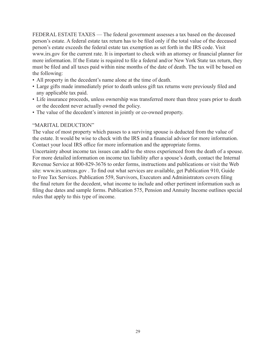FEDERAL ESTATE TAXES — The federal government assesses a tax based on the deceased person's estate. A federal estate tax return has to be filed only if the total value of the deceased person's estate exceeds the federal estate tax exemption as set forth in the IRS code. Visit www.irs.gov for the current rate. It is important to check with an attorney or financial planner for more information. If the Estate is required to file a federal and/or New York State tax return, they must be filed and all taxes paid within nine months of the date of death. The tax will be based on the following:

- All property in the decedent's name alone at the time of death.
- Large gifts made immediately prior to death unless gift tax returns were previously filed and any applicable tax paid.
- Life insurance proceeds, unless ownership was transferred more than three years prior to death or the decedent never actually owned the policy.
- The value of the decedent's interest in jointly or co-owned property.

#### "MARITAL DEDUCTION"

The value of most property which passes to a surviving spouse is deducted from the value of the estate. It would be wise to check with the IRS and a financial advisor for more information. Contact your local IRS office for more information and the appropriate forms.

Uncertainty about income tax issues can add to the stress experienced from the death of a spouse. For more detailed information on income tax liability after a spouse's death, contact the Internal Revenue Service at 800-829-3676 to order forms, instructions and publications or visit the Web site: www.irs.ustreas.gov . To find out what services are available, get Publication 910, Guide to Free Tax Services. Publication 559, Survivors, Executors and Administrators covers filing the final return for the decedent, what income to include and other pertinent information such as filing due dates and sample forms. Publication 575, Pension and Annuity Income outlines special rules that apply to this type of income.